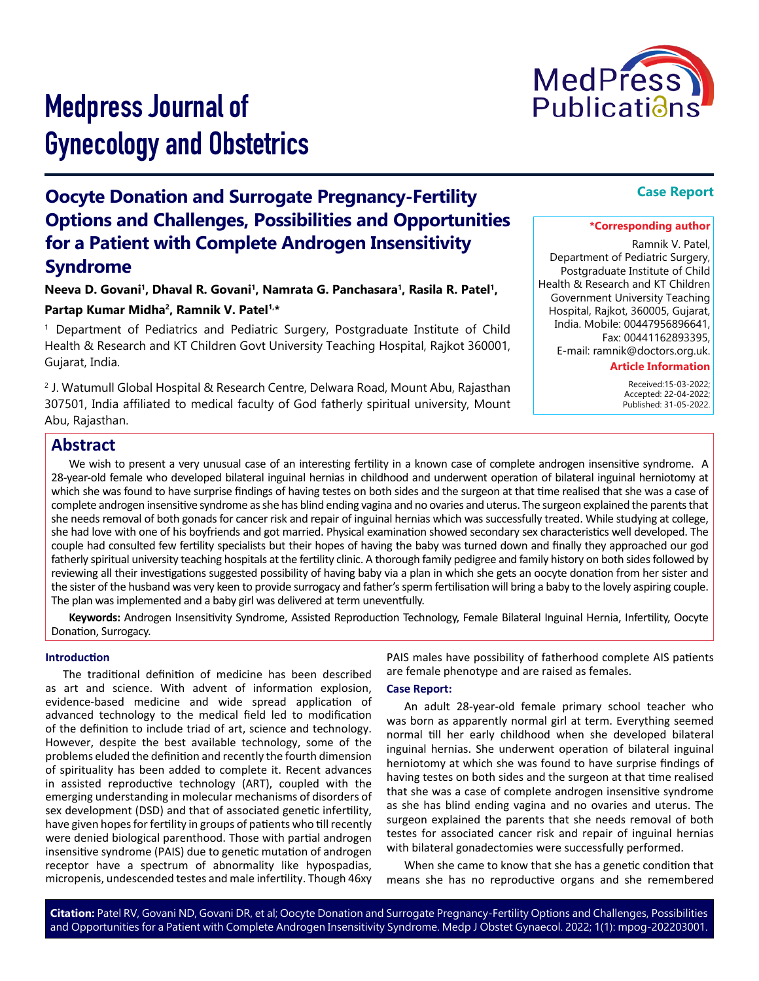

# Medpress Journal of Gynecology and Obstetrics

# **Oocyte Donation and Surrogate Pregnancy-Fertility Options and Challenges, Possibilities and Opportunities for a Patient with Complete Androgen Insensitivity Syndrome**

**Neeva D. Govani1, Dhaval R. Govani1, Namrata G. Panchasara1, Rasila R. Patel1,**  Partap Kumar Midha<sup>2</sup>, Ramnik V. Patel<sup>1,\*</sup>

1 Department of Pediatrics and Pediatric Surgery, Postgraduate Institute of Child Health & Research and KT Children Govt University Teaching Hospital, Rajkot 360001, Gujarat, India.

2 J. Watumull Global Hospital & Research Centre, Delwara Road, Mount Abu, Rajasthan 307501, India affiliated to medical faculty of God fatherly spiritual university, Mount Abu, Rajasthan.

# **Case Report**

#### **\*Corresponding author**

Ramnik V. Patel, Department of Pediatric Surgery, Postgraduate Institute of Child Health & Research and KT Children Government University Teaching Hospital, Rajkot, 360005, Gujarat, India. Mobile: 00447956896641, Fax: 00441162893395, E-mail: ramnik@doctors.org.uk.

**Article Information**

 Received:15-03-2022; Accepted: 22-04-2022; Published: 31-05-2022.

# **Abstract**

We wish to present a very unusual case of an interesting fertility in a known case of complete androgen insensitive syndrome. A 28-year-old female who developed bilateral inguinal hernias in childhood and underwent operation of bilateral inguinal herniotomy at which she was found to have surprise findings of having testes on both sides and the surgeon at that time realised that she was a case of complete androgen insensitive syndrome as she has blind ending vagina and no ovaries and uterus. The surgeon explained the parents that she needs removal of both gonads for cancer risk and repair of inguinal hernias which was successfully treated. While studying at college, she had love with one of his boyfriends and got married. Physical examination showed secondary sex characteristics well developed. The couple had consulted few fertility specialists but their hopes of having the baby was turned down and finally they approached our god fatherly spiritual university teaching hospitals at the fertility clinic. A thorough family pedigree and family history on both sides followed by reviewing all their investigations suggested possibility of having baby via a plan in which she gets an oocyte donation from her sister and the sister of the husband was very keen to provide surrogacy and father's sperm fertilisation will bring a baby to the lovely aspiring couple. The plan was implemented and a baby girl was delivered at term uneventfully.

**Keywords:** Androgen Insensitivity Syndrome, Assisted Reproduction Technology, Female Bilateral Inguinal Hernia, Infertility, Oocyte Donation, Surrogacy.

#### **Introduction**

The traditional definition of medicine has been described as art and science. With advent of information explosion, evidence-based medicine and wide spread application of advanced technology to the medical field led to modification of the definition to include triad of art, science and technology. However, despite the best available technology, some of the problems eluded the definition and recently the fourth dimension of spirituality has been added to complete it. Recent advances in assisted reproductive technology (ART), coupled with the emerging understanding in molecular mechanisms of disorders of sex development (DSD) and that of associated genetic infertility, have given hopes for fertility in groups of patients who till recently were denied biological parenthood. Those with partial androgen insensitive syndrome (PAIS) due to genetic mutation of androgen receptor have a spectrum of abnormality like hypospadias, micropenis, undescended testes and male infertility. Though 46xy

PAIS males have possibility of fatherhood complete AIS patients are female phenotype and are raised as females.

#### **Case Report:**

An adult 28-year-old female primary school teacher who was born as apparently normal girl at term. Everything seemed normal till her early childhood when she developed bilateral inguinal hernias. She underwent operation of bilateral inguinal herniotomy at which she was found to have surprise findings of having testes on both sides and the surgeon at that time realised that she was a case of complete androgen insensitive syndrome as she has blind ending vagina and no ovaries and uterus. The surgeon explained the parents that she needs removal of both testes for associated cancer risk and repair of inguinal hernias with bilateral gonadectomies were successfully performed.

When she came to know that she has a genetic condition that means she has no reproductive organs and she remembered

**Citation:** Patel RV, Govani ND, Govani DR, et al; Oocyte Donation and Surrogate Pregnancy-Fertility Options and Challenges, Possibilities and Opportunities for a Patient with Complete Androgen Insensitivity Syndrome. Medp J Obstet Gynaecol. 2022; 1(1): mpog-202203001.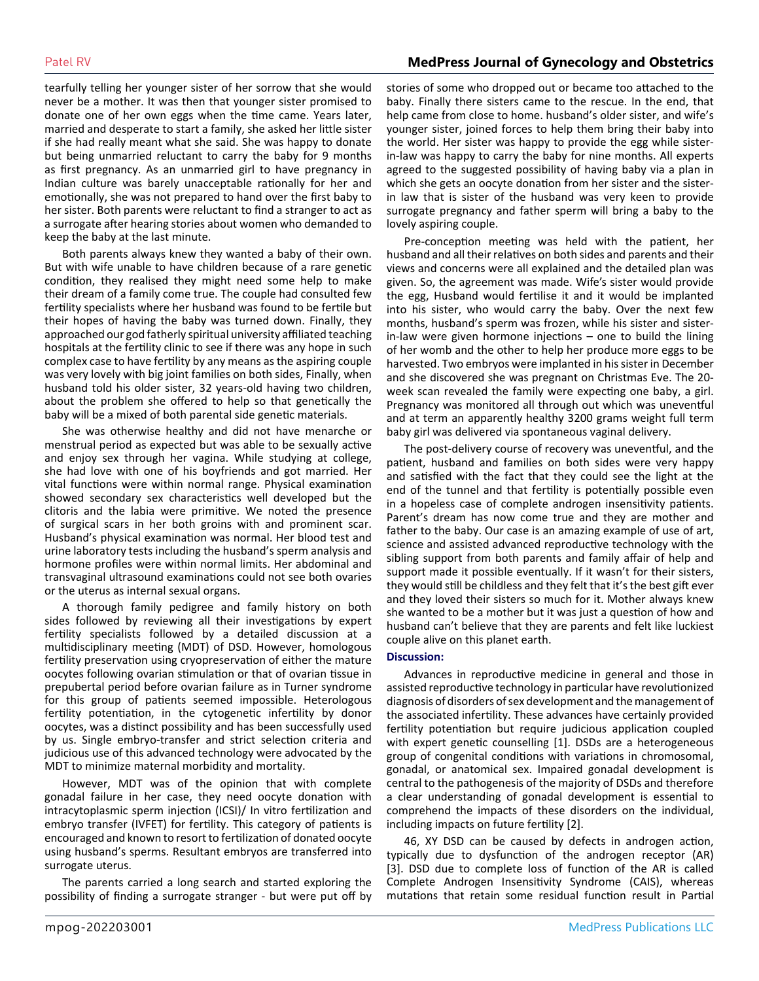# Patel RV **MedPress Journal of Gynecology and Obstetrics**

tearfully telling her younger sister of her sorrow that she would never be a mother. It was then that younger sister promised to donate one of her own eggs when the time came. Years later, married and desperate to start a family, she asked her little sister if she had really meant what she said. She was happy to donate but being unmarried reluctant to carry the baby for 9 months as first pregnancy. As an unmarried girl to have pregnancy in Indian culture was barely unacceptable rationally for her and emotionally, she was not prepared to hand over the first baby to her sister. Both parents were reluctant to find a stranger to act as a surrogate after hearing stories about women who demanded to keep the baby at the last minute.

Both parents always knew they wanted a baby of their own. But with wife unable to have children because of a rare genetic condition, they realised they might need some help to make their dream of a family come true. The couple had consulted few fertility specialists where her husband was found to be fertile but their hopes of having the baby was turned down. Finally, they approached our god fatherly spiritual university affiliated teaching hospitals at the fertility clinic to see if there was any hope in such complex case to have fertility by any means as the aspiring couple was very lovely with big joint families on both sides, Finally, when husband told his older sister, 32 years-old having two children, about the problem she offered to help so that genetically the baby will be a mixed of both parental side genetic materials.

She was otherwise healthy and did not have menarche or menstrual period as expected but was able to be sexually active and enjoy sex through her vagina. While studying at college, she had love with one of his boyfriends and got married. Her vital functions were within normal range. Physical examination showed secondary sex characteristics well developed but the clitoris and the labia were primitive. We noted the presence of surgical scars in her both groins with and prominent scar. Husband's physical examination was normal. Her blood test and urine laboratory tests including the husband's sperm analysis and hormone profiles were within normal limits. Her abdominal and transvaginal ultrasound examinations could not see both ovaries or the uterus as internal sexual organs.

A thorough family pedigree and family history on both sides followed by reviewing all their investigations by expert fertility specialists followed by a detailed discussion at a multidisciplinary meeting (MDT) of DSD. However, homologous fertility preservation using cryopreservation of either the mature oocytes following ovarian stimulation or that of ovarian tissue in prepubertal period before ovarian failure as in Turner syndrome for this group of patients seemed impossible. Heterologous fertility potentiation, in the cytogenetic infertility by donor oocytes, was a distinct possibility and has been successfully used by us. Single embryo-transfer and strict selection criteria and judicious use of this advanced technology were advocated by the MDT to minimize maternal morbidity and mortality.

However, MDT was of the opinion that with complete gonadal failure in her case, they need oocyte donation with intracytoplasmic sperm injection (ICSI)/ In vitro fertilization and embryo transfer (IVFET) for fertility. This category of patients is encouraged and known to resort to fertilization of donated oocyte using husband's sperms. Resultant embryos are transferred into surrogate uterus.

The parents carried a long search and started exploring the possibility of finding a surrogate stranger - but were put off by stories of some who dropped out or became too attached to the baby. Finally there sisters came to the rescue. In the end, that help came from close to home. husband's older sister, and wife's younger sister, joined forces to help them bring their baby into the world. Her sister was happy to provide the egg while sisterin-law was happy to carry the baby for nine months. All experts agreed to the suggested possibility of having baby via a plan in which she gets an oocyte donation from her sister and the sisterin law that is sister of the husband was very keen to provide surrogate pregnancy and father sperm will bring a baby to the lovely aspiring couple.

Pre-conception meeting was held with the patient, her husband and all their relatives on both sides and parents and their views and concerns were all explained and the detailed plan was given. So, the agreement was made. Wife's sister would provide the egg, Husband would fertilise it and it would be implanted into his sister, who would carry the baby. Over the next few months, husband's sperm was frozen, while his sister and sisterin-law were given hormone injections – one to build the lining of her womb and the other to help her produce more eggs to be harvested. Two embryos were implanted in his sister in December and she discovered she was pregnant on Christmas Eve. The 20 week scan revealed the family were expecting one baby, a girl. Pregnancy was monitored all through out which was uneventful and at term an apparently healthy 3200 grams weight full term baby girl was delivered via spontaneous vaginal delivery.

The post-delivery course of recovery was uneventful, and the patient, husband and families on both sides were very happy and satisfied with the fact that they could see the light at the end of the tunnel and that fertility is potentially possible even in a hopeless case of complete androgen insensitivity patients. Parent's dream has now come true and they are mother and father to the baby. Our case is an amazing example of use of art, science and assisted advanced reproductive technology with the sibling support from both parents and family affair of help and support made it possible eventually. If it wasn't for their sisters, they would still be childless and they felt that it's the best gift ever and they loved their sisters so much for it. Mother always knew she wanted to be a mother but it was just a question of how and husband can't believe that they are parents and felt like luckiest couple alive on this planet earth.

#### **Discussion:**

Advances in reproductive medicine in general and those in assisted reproductive technology in particular have revolutionized diagnosis of disorders of sex development and the management of the associated infertility. These advances have certainly provided fertility potentiation but require judicious application coupled with expert genetic counselling [1]. DSDs are a heterogeneous group of congenital conditions with variations in chromosomal, gonadal, or anatomical sex. Impaired gonadal development is central to the pathogenesis of the majority of DSDs and therefore a clear understanding of gonadal development is essential to comprehend the impacts of these disorders on the individual, including impacts on future fertility [2].

46, XY DSD can be caused by defects in androgen action, typically due to dysfunction of the androgen receptor (AR) [3]. DSD due to complete loss of function of the AR is called Complete Androgen Insensitivity Syndrome (CAIS), whereas mutations that retain some residual function result in Partial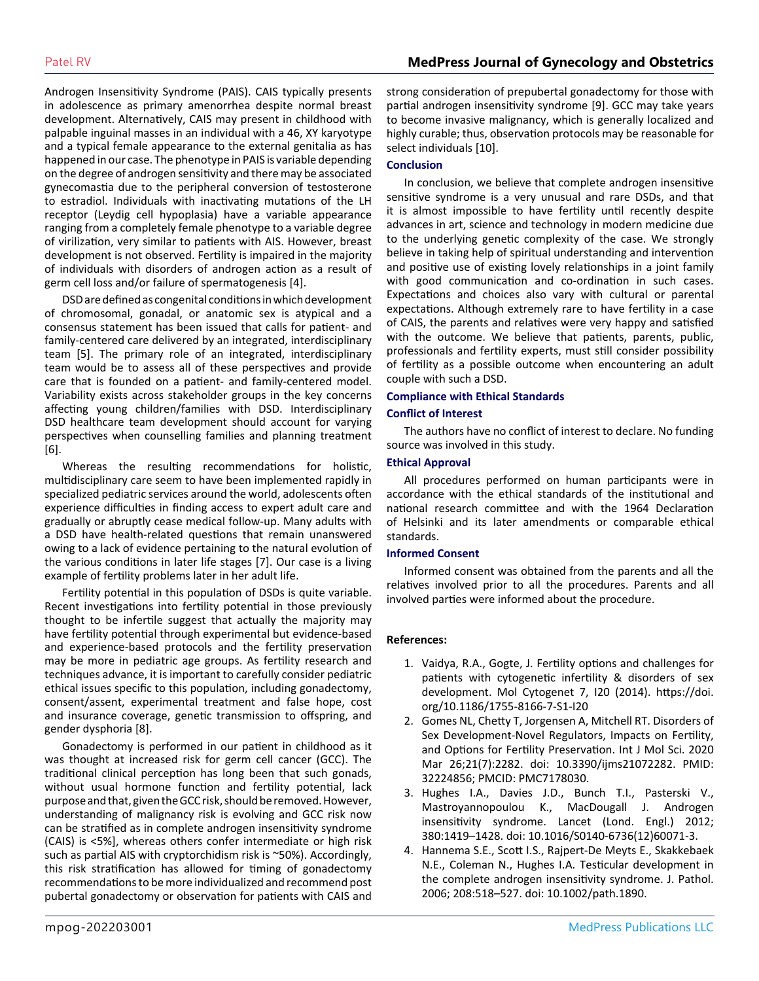Androgen Insensitivity Syndrome (PAIS). CAIS typically presents in adolescence as primary amenorrhea despite normal breast development. Alternatively, CAIS may present in childhood with palpable inguinal masses in an individual with a 46, XY karyotype and a typical female appearance to the external genitalia as has happened in our case. The phenotype in PAIS is variable depending on the degree of androgen sensitivity and there may be associated gynecomastia due to the peripheral conversion of testosterone to estradiol. Individuals with inactivating mutations of the LH receptor (Leydig cell hypoplasia) have a variable appearance ranging from a completely female phenotype to a variable degree of virilization, very similar to patients with AIS. However, breast development is not observed. Fertility is impaired in the majority of individuals with disorders of androgen action as a result of germ cell loss and/or failure of spermatogenesis [4].

DSD are defined as congenital conditions in which development of chromosomal, gonadal, or anatomic sex is atypical and a consensus statement has been issued that calls for patient- and family-centered care delivered by an integrated, interdisciplinary team [5]. The primary role of an integrated, interdisciplinary team would be to assess all of these perspectives and provide care that is founded on a patient- and family-centered model. Variability exists across stakeholder groups in the key concerns affecting young children/families with DSD. Interdisciplinary DSD healthcare team development should account for varying perspectives when counselling families and planning treatment [6].

Whereas the resulting recommendations for holistic, multidisciplinary care seem to have been implemented rapidly in specialized pediatric services around the world, adolescents often experience difficulties in finding access to expert adult care and gradually or abruptly cease medical follow-up. Many adults with a DSD have health-related questions that remain unanswered owing to a lack of evidence pertaining to the natural evolution of the various conditions in later life stages [7]. Our case is a living example of fertility problems later in her adult life.

Fertility potential in this population of DSDs is quite variable. Recent investigations into fertility potential in those previously thought to be infertile suggest that actually the majority may have fertility potential through experimental but evidence-based and experience-based protocols and the fertility preservation may be more in pediatric age groups. As fertility research and techniques advance, it is important to carefully consider pediatric ethical issues specific to this population, including gonadectomy, consent/assent, experimental treatment and false hope, cost and insurance coverage, genetic transmission to offspring, and gender dysphoria [8].

Gonadectomy is performed in our patient in childhood as it was thought at increased risk for germ cell cancer (GCC). The traditional clinical perception has long been that such gonads, without usual hormone function and fertility potential, lack purpose and that, given the GCC risk, should be removed. However, understanding of malignancy risk is evolving and GCC risk now can be stratified as in complete androgen insensitivity syndrome (CAIS) is <5%], whereas others confer intermediate or high risk such as partial AIS with cryptorchidism risk is ~50%). Accordingly, this risk stratification has allowed for timing of gonadectomy recommendations to be more individualized and recommend post pubertal gonadectomy or observation for patients with CAIS and

strong consideration of prepubertal gonadectomy for those with partial androgen insensitivity syndrome [9]. GCC may take years to become invasive malignancy, which is generally localized and highly curable; thus, observation protocols may be reasonable for select individuals [10].

#### **Conclusion**

In conclusion, we believe that complete androgen insensitive sensitive syndrome is a very unusual and rare DSDs, and that it is almost impossible to have fertility until recently despite advances in art, science and technology in modern medicine due to the underlying genetic complexity of the case. We strongly believe in taking help of spiritual understanding and intervention and positive use of existing lovely relationships in a joint family with good communication and co-ordination in such cases. Expectations and choices also vary with cultural or parental expectations. Although extremely rare to have fertility in a case of CAIS, the parents and relatives were very happy and satisfied with the outcome. We believe that patients, parents, public, professionals and fertility experts, must still consider possibility of fertility as a possible outcome when encountering an adult couple with such a DSD.

#### **Compliance with Ethical Standards**

#### **Conflict of Interest**

The authors have no conflict of interest to declare. No funding source was involved in this study.

#### **Ethical Approval**

All procedures performed on human participants were in accordance with the ethical standards of the institutional and national research committee and with the 1964 Declaration of Helsinki and its later amendments or comparable ethical standards.

#### **Informed Consent**

Informed consent was obtained from the parents and all the relatives involved prior to all the procedures. Parents and all involved parties were informed about the procedure.

#### **References:**

- 1. Vaidya, R.A., Gogte, J. Fertility options and challenges for patients with cytogenetic infertility & disorders of sex development. Mol Cytogenet 7, I20 (2014). https://doi. org/10.1186/1755-8166-7-S1-I20
- 2. [Gomes NL, Chetty T, Jorgensen A, Mitchell RT. Disorders of](https://www.ncbi.nlm.nih.gov/pmc/articles/PMC7178030/)  [Sex Development-Novel Regulators, Impacts on Fertility,](https://www.ncbi.nlm.nih.gov/pmc/articles/PMC7178030/)  [and Options for Fertility Preservation. Int J Mol Sci. 2020](https://www.ncbi.nlm.nih.gov/pmc/articles/PMC7178030/) [Mar 26;21\(7\):2282. doi: 10.3390/ijms21072282. PMID:](https://www.ncbi.nlm.nih.gov/pmc/articles/PMC7178030/) [32224856; PMCID: PMC7178030.](https://www.ncbi.nlm.nih.gov/pmc/articles/PMC7178030/)
- 3. Hughes I.A., Davies J.D., Bunch T.I., Pasterski V., Mastroyannopoulou K., MacDougall J. Androgen insensitivity syndrome. Lancet (Lond. Engl.) 2012; 380:1419–1428. doi: 10.1016/S0140-6736(12)60071-3.
- 4. [Hannema S.E., Scott I.S., Rajpert-De Meyts E., Skakkebaek](https://pubmed.ncbi.nlm.nih.gov/16400621/#:~:text=The complete androgen insensitivity syndrome (CAIS)%2C caused by mutations,risk of germ cell malignancy.) [N.E., Coleman N., Hughes I.A. Testicular development in](https://pubmed.ncbi.nlm.nih.gov/16400621/#:~:text=The complete androgen insensitivity syndrome (CAIS)%2C caused by mutations,risk of germ cell malignancy.)  [the complete androgen insensitivity syndrome. J. Pathol.](https://pubmed.ncbi.nlm.nih.gov/16400621/#:~:text=The complete androgen insensitivity syndrome (CAIS)%2C caused by mutations,risk of germ cell malignancy.)  [2006; 208:518–527. doi: 10.1002/path.1890.](https://pubmed.ncbi.nlm.nih.gov/16400621/#:~:text=The complete androgen insensitivity syndrome (CAIS)%2C caused by mutations,risk of germ cell malignancy.)